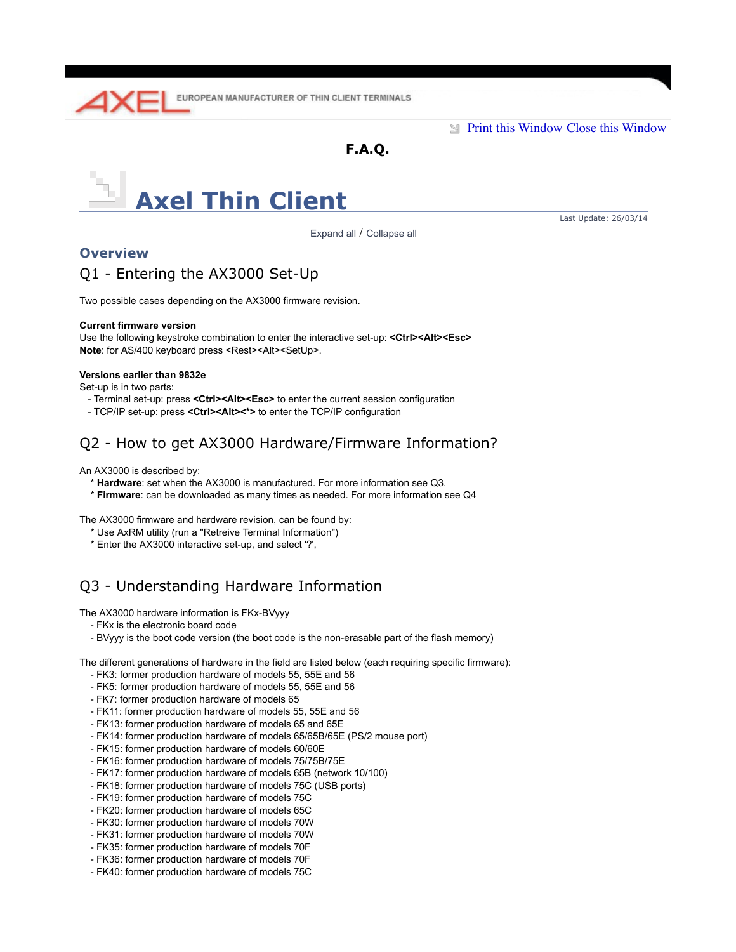

**Print this Window Close this Window** 

**F.A.Q.**



Expand all / Collapse all

Last Update: 26/03/14

### **Overview**

## Q1 - Entering the AX3000 Set-Up

Two possible cases depending on the AX3000 firmware revision.

### **Current firmware version**

Use the following keystroke combination to enter the interactive set-up: **<Ctrl><Alt><Esc>** Note: for AS/400 keyboard press <Rest><Alt><SetUp>.

### **Versions earlier than 9832e**

Set-up is in two parts:

- Terminal set-up: press **<Ctrl><Alt><Esc>** to enter the current session configuration
- TCP/IP set-up: press **<Ctrl><Alt><\*>** to enter the TCP/IP configuration

# Q2 - How to get AX3000 Hardware/Firmware Information?

An AX3000 is described by:

- \* **Hardware**: set when the AX3000 is manufactured. For more information see Q3.
- \* **Firmware**: can be downloaded as many times as needed. For more information see Q4

The AX3000 firmware and hardware revision, can be found by:

- \* Use AxRM utility (run a "Retreive Terminal Information")
- \* Enter the AX3000 interactive set-up, and select '?',

# Q3 - Understanding Hardware Information

The AX3000 hardware information is FKx-BVyyy

- FKx is the electronic board code
- BVyyy is the boot code version (the boot code is the non-erasable part of the flash memory)

The different generations of hardware in the field are listed below (each requiring specific firmware):

- FK3: former production hardware of models 55, 55E and 56
- FK5: former production hardware of models 55, 55E and 56
- FK7: former production hardware of models 65
- FK11: former production hardware of models 55, 55E and 56
- FK13: former production hardware of models 65 and 65E
- FK14: former production hardware of models 65/65B/65E (PS/2 mouse port)
- FK15: former production hardware of models 60/60E
- FK16: former production hardware of models 75/75B/75E
- FK17: former production hardware of models 65B (network 10/100)
- FK18: former production hardware of models 75C (USB ports)
- FK19: former production hardware of models 75C
- FK20: former production hardware of models 65C
- FK30: former production hardware of models 70W
- FK31: former production hardware of models 70W
- FK35: former production hardware of models 70F
- FK36: former production hardware of models 70F
- FK40: former production hardware of models 75C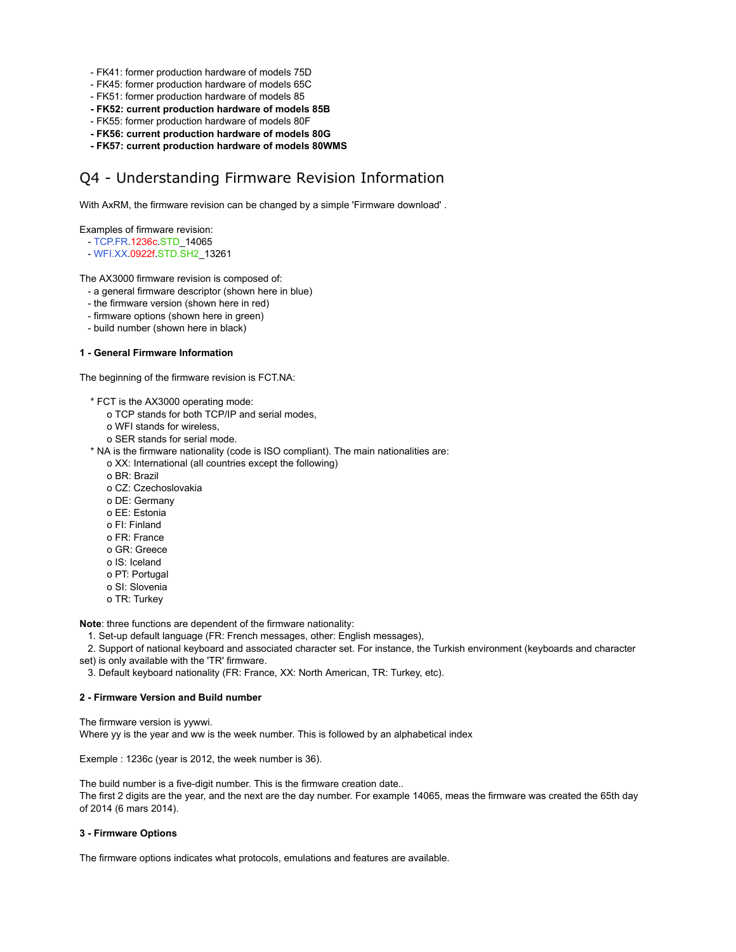- FK41: former production hardware of models 75D
- FK45: former production hardware of models 65C
- FK51: former production hardware of models 85
- **FK52: current production hardware of models 85B**
- FK55: former production hardware of models 80F
- **FK56: current production hardware of models 80G**
- **FK57: current production hardware of models 80WMS**

# Q4 - Understanding Firmware Revision Information

With AxRM, the firmware revision can be changed by a simple 'Firmware download' .

Examples of firmware revision:

- TCP.FR.1236c.STD\_14065
- WFI.XX.0922f.STD.SH2\_13261

The AX3000 firmware revision is composed of:

- a general firmware descriptor (shown here in blue)
- the firmware version (shown here in red)
- firmware options (shown here in green)
- build number (shown here in black)

### **1 - General Firmware Information**

The beginning of the firmware revision is FCT.NA:

- \* FCT is the AX3000 operating mode:
	- o TCP stands for both TCP/IP and serial modes,
	- o WFI stands for wireless,
	- o SER stands for serial mode.
- \* NA is the firmware nationality (code is ISO compliant). The main nationalities are:
	- o XX: International (all countries except the following)
	- o BR: Brazil
	- o CZ: Czechoslovakia
	- o DE: Germany
	- o EE: Estonia
	- o FI: Finland
	- o FR: France
	- o GR: Greece
	- o IS: Iceland
	- o PT: Portugal
	- o SI: Slovenia
	- o TR: Turkey

**Note**: three functions are dependent of the firmware nationality:

- 1. Set-up default language (FR: French messages, other: English messages),
- 2. Support of national keyboard and associated character set. For instance, the Turkish environment (keyboards and character
- set) is only available with the 'TR' firmware.
	- 3. Default keyboard nationality (FR: France, XX: North American, TR: Turkey, etc).

### **2 - Firmware Version and Build number**

The firmware version is yywwi. Where yy is the year and ww is the week number. This is followed by an alphabetical index

Exemple : 1236c (year is 2012, the week number is 36).

The build number is a five-digit number. This is the firmware creation date.. The first 2 digits are the year, and the next are the day number. For example 14065, meas the firmware was created the 65th day of 2014 (6 mars 2014).

### **3 - Firmware Options**

The firmware options indicates what protocols, emulations and features are available.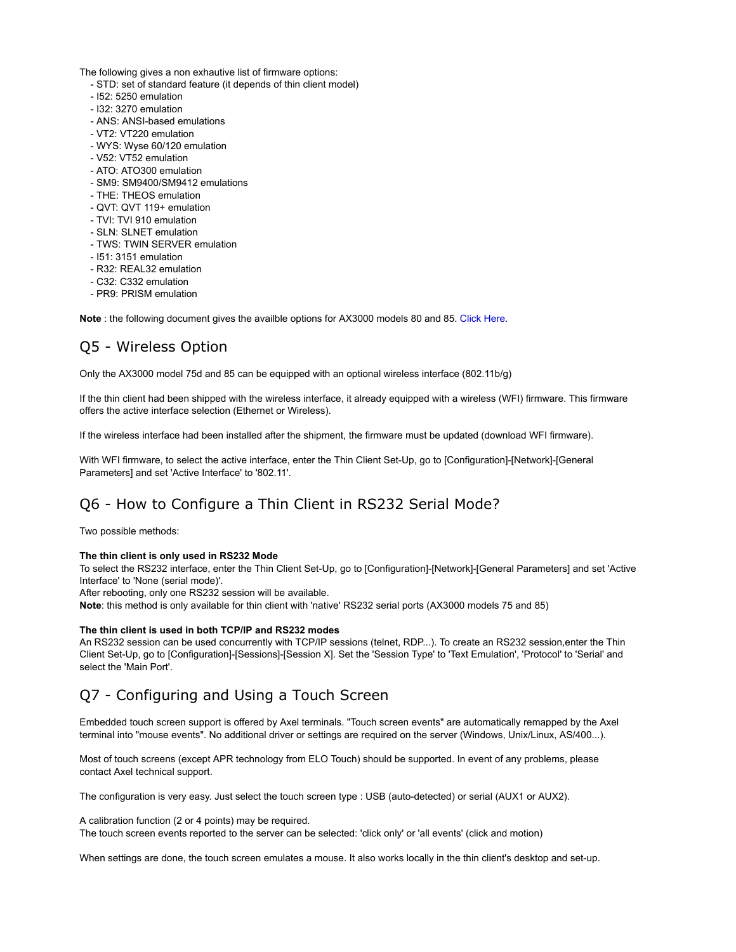The following gives a non exhautive list of firmware options:

- STD: set of standard feature (it depends of thin client model)
- I52: 5250 emulation
- I32: 3270 emulation
- ANS: ANSI-based emulations
- VT2: VT220 emulation
- WYS: Wyse 60/120 emulation
- V52: VT52 emulation
- ATO: ATO300 emulation
- SM9: SM9400/SM9412 emulations
- THE: THEOS emulation
- QVT: QVT 119+ emulation
- TVI: TVI 910 emulation
- SLN: SLNET emulation
- TWS: TWIN SERVER emulation
- I51: 3151 emulation
- R32: REAL32 emulation
- C32: C332 emulation
- PR9: PRISM emulation

**Note** : the following document gives the availble options for AX3000 models 80 and 85. Click Here.

# Q5 - Wireless Option

Only the AX3000 model 75d and 85 can be equipped with an optional wireless interface (802.11b/g)

If the thin client had been shipped with the wireless interface, it already equipped with a wireless (WFI) firmware. This firmware offers the active interface selection (Ethernet or Wireless).

If the wireless interface had been installed after the shipment, the firmware must be updated (download WFI firmware).

With WFI firmware, to select the active interface, enter the Thin Client Set-Up, go to [Configuration]-[Network]-[General Parameters] and set 'Active Interface' to '802.11'.

# Q6 - How to Configure a Thin Client in RS232 Serial Mode?

Two possible methods:

### **The thin client is only used in RS232 Mode**

To select the RS232 interface, enter the Thin Client Set-Up, go to [Configuration]-[Network]-[General Parameters] and set 'Active Interface' to 'None (serial mode)'.

After rebooting, only one RS232 session will be available.

**Note**: this method is only available for thin client with 'native' RS232 serial ports (AX3000 models 75 and 85)

### **The thin client is used in both TCP/IP and RS232 modes**

An RS232 session can be used concurrently with TCP/IP sessions (telnet, RDP...). To create an RS232 session,enter the Thin Client Set-Up, go to [Configuration]-[Sessions]-[Session X]. Set the 'Session Type' to 'Text Emulation', 'Protocol' to 'Serial' and select the 'Main Port'.

### Q7 - Configuring and Using a Touch Screen

Embedded touch screen support is offered by Axel terminals. "Touch screen events" are automatically remapped by the Axel terminal into "mouse events". No additional driver or settings are required on the server (Windows, Unix/Linux, AS/400...).

Most of touch screens (except APR technology from ELO Touch) should be supported. In event of any problems, please contact Axel technical support.

The configuration is very easy. Just select the touch screen type : USB (auto-detected) or serial (AUX1 or AUX2).

A calibration function (2 or 4 points) may be required.

The touch screen events reported to the server can be selected: 'click only' or 'all events' (click and motion)

When settings are done, the touch screen emulates a mouse. It also works locally in the thin client's desktop and set-up.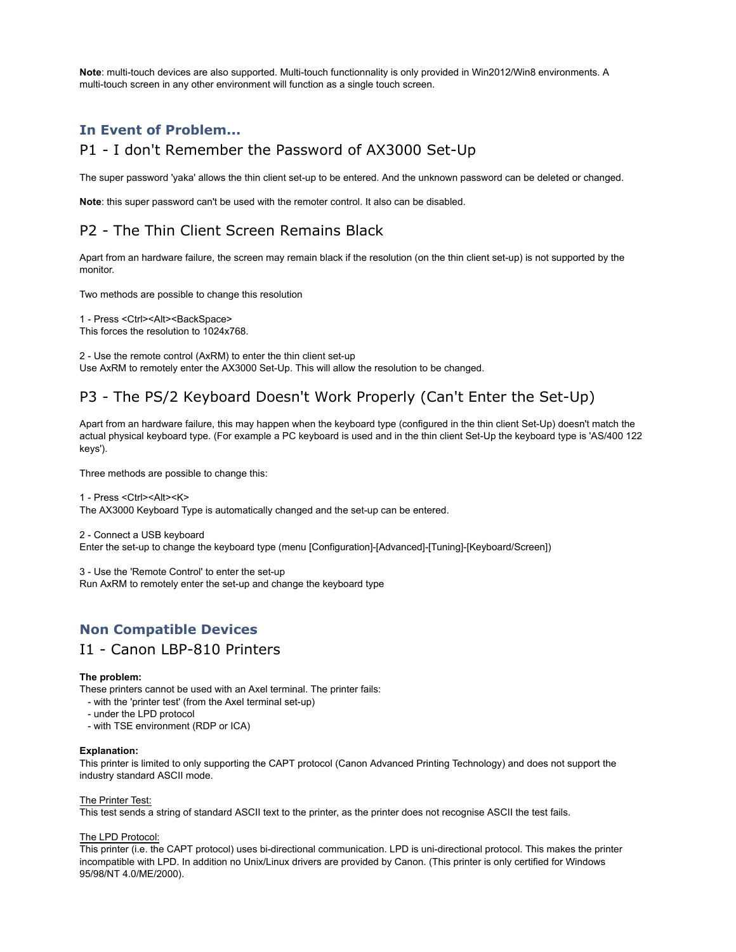**Note**: multi-touch devices are also supported. Multi-touch functionnality is only provided in Win2012/Win8 environments. A multi-touch screen in any other environment will function as a single touch screen.

### **In Event of Problem...**

### P1 - I don't Remember the Password of AX3000 Set-Up

The super password 'yaka' allows the thin client set-up to be entered. And the unknown password can be deleted or changed.

**Note**: this super password can't be used with the remoter control. It also can be disabled.

# P2 - The Thin Client Screen Remains Black

Apart from an hardware failure, the screen may remain black if the resolution (on the thin client set-up) is not supported by the monitor.

Two methods are possible to change this resolution

1 - Press < Ctrl><Alt><BackSpace> This forces the resolution to 1024x768.

2 - Use the remote control (AxRM) to enter the thin client set-up Use AxRM to remotely enter the AX3000 Set-Up. This will allow the resolution to be changed.

# P3 - The PS/2 Keyboard Doesn't Work Properly (Can't Enter the Set-Up)

Apart from an hardware failure, this may happen when the keyboard type (configured in the thin client Set-Up) doesn't match the actual physical keyboard type. (For example a PC keyboard is used and in the thin client Set-Up the keyboard type is 'AS/400 122 keys').

Three methods are possible to change this:

1 - Press <Ctrl><Alt><K> The AX3000 Keyboard Type is automatically changed and the set-up can be entered.

2 - Connect a USB keyboard Enter the set-up to change the keyboard type (menu [Configuration]-[Advanced]-[Tuning]-[Keyboard/Screen])

3 - Use the 'Remote Control' to enter the set-up Run AxRM to remotely enter the set-up and change the keyboard type

### **Non Compatible Devices**

### I1 - Canon LBP-810 Printers

### **The problem:**

These printers cannot be used with an Axel terminal. The printer fails:

- with the 'printer test' (from the Axel terminal set-up)
- under the LPD protocol
- with TSE environment (RDP or ICA)

#### **Explanation:**

This printer is limited to only supporting the CAPT protocol (Canon Advanced Printing Technology) and does not support the industry standard ASCII mode.

#### The Printer Test:

This test sends a string of standard ASCII text to the printer, as the printer does not recognise ASCII the test fails.

#### The LPD Protocol:

This printer (i.e. the CAPT protocol) uses bi-directional communication. LPD is uni-directional protocol. This makes the printer incompatible with LPD. In addition no Unix/Linux drivers are provided by Canon. (This printer is only certified for Windows 95/98/NT 4.0/ME/2000).